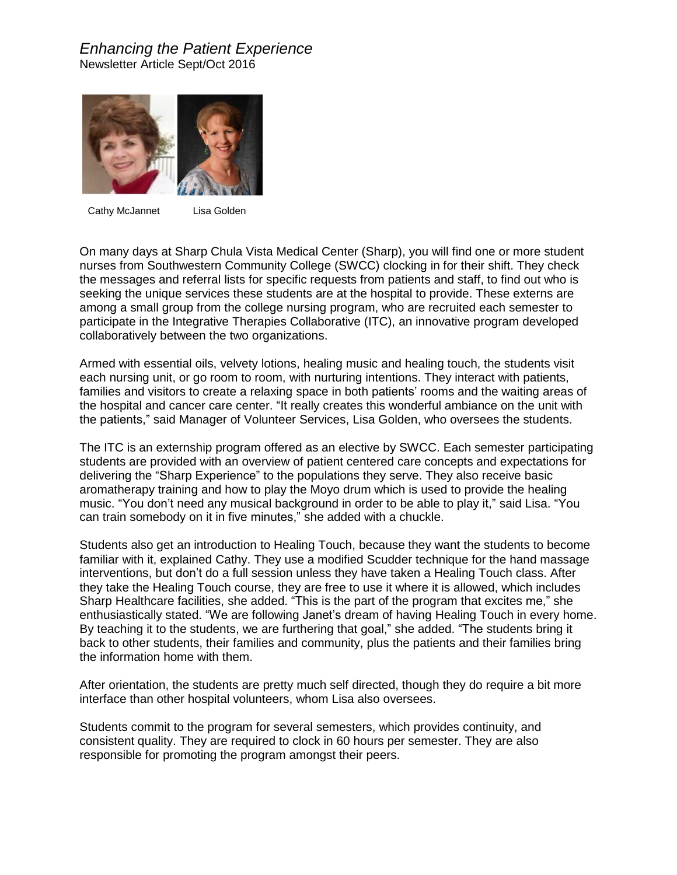## *Enhancing the Patient Experience* Newsletter Article Sept/Oct 2016



Cathy McJannet Lisa Golden

On many days at Sharp Chula Vista Medical Center (Sharp), you will find one or more student nurses from Southwestern Community College (SWCC) clocking in for their shift. They check the messages and referral lists for specific requests from patients and staff, to find out who is seeking the unique services these students are at the hospital to provide. These externs are among a small group from the college nursing program, who are recruited each semester to participate in the Integrative Therapies Collaborative (ITC), an innovative program developed collaboratively between the two organizations.

Armed with essential oils, velvety lotions, healing music and healing touch, the students visit each nursing unit, or go room to room, with nurturing intentions. They interact with patients, families and visitors to create a relaxing space in both patients' rooms and the waiting areas of the hospital and cancer care center. "It really creates this wonderful ambiance on the unit with the patients," said Manager of Volunteer Services, Lisa Golden, who oversees the students.

The ITC is an externship program offered as an elective by SWCC. Each semester participating students are provided with an overview of patient centered care concepts and expectations for delivering the "Sharp Experience" to the populations they serve. They also receive basic aromatherapy training and how to play the Moyo drum which is used to provide the healing music. "You don't need any musical background in order to be able to play it," said Lisa. "You can train somebody on it in five minutes," she added with a chuckle.

Students also get an introduction to Healing Touch, because they want the students to become familiar with it, explained Cathy. They use a modified Scudder technique for the hand massage interventions, but don't do a full session unless they have taken a Healing Touch class. After they take the Healing Touch course, they are free to use it where it is allowed, which includes Sharp Healthcare facilities, she added. "This is the part of the program that excites me," she enthusiastically stated. "We are following Janet's dream of having Healing Touch in every home. By teaching it to the students, we are furthering that goal," she added. "The students bring it back to other students, their families and community, plus the patients and their families bring the information home with them.

After orientation, the students are pretty much self directed, though they do require a bit more interface than other hospital volunteers, whom Lisa also oversees.

Students commit to the program for several semesters, which provides continuity, and consistent quality. They are required to clock in 60 hours per semester. They are also responsible for promoting the program amongst their peers.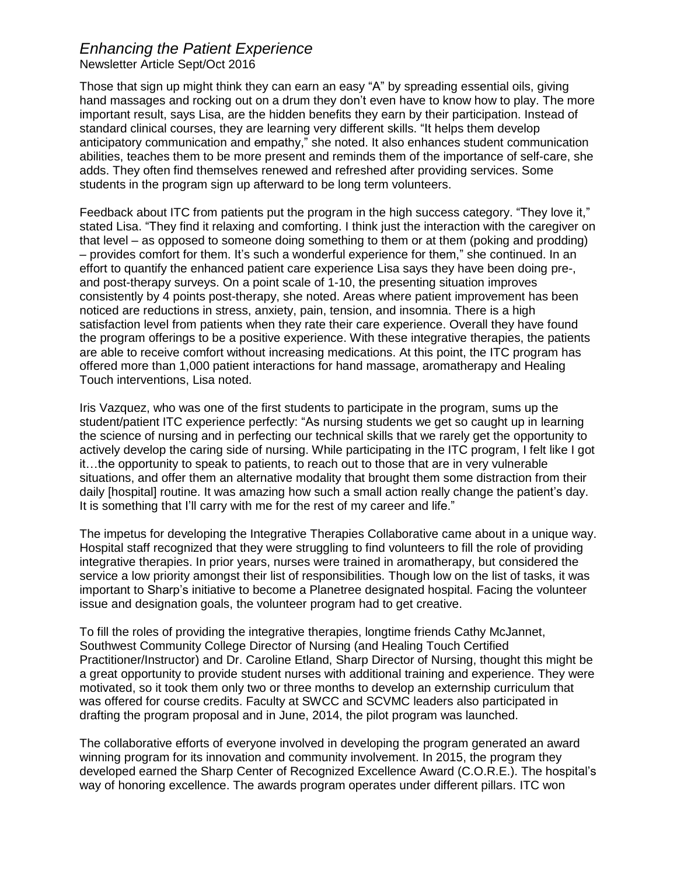## *Enhancing the Patient Experience*

Newsletter Article Sept/Oct 2016

Those that sign up might think they can earn an easy "A" by spreading essential oils, giving hand massages and rocking out on a drum they don't even have to know how to play. The more important result, says Lisa, are the hidden benefits they earn by their participation. Instead of standard clinical courses, they are learning very different skills. "It helps them develop anticipatory communication and empathy," she noted. It also enhances student communication abilities, teaches them to be more present and reminds them of the importance of self-care, she adds. They often find themselves renewed and refreshed after providing services. Some students in the program sign up afterward to be long term volunteers.

Feedback about ITC from patients put the program in the high success category. "They love it," stated Lisa. "They find it relaxing and comforting. I think just the interaction with the caregiver on that level – as opposed to someone doing something to them or at them (poking and prodding) – provides comfort for them. It's such a wonderful experience for them," she continued. In an effort to quantify the enhanced patient care experience Lisa says they have been doing pre-, and post-therapy surveys. On a point scale of 1-10, the presenting situation improves consistently by 4 points post-therapy, she noted. Areas where patient improvement has been noticed are reductions in stress, anxiety, pain, tension, and insomnia. There is a high satisfaction level from patients when they rate their care experience. Overall they have found the program offerings to be a positive experience. With these integrative therapies, the patients are able to receive comfort without increasing medications. At this point, the ITC program has offered more than 1,000 patient interactions for hand massage, aromatherapy and Healing Touch interventions, Lisa noted.

Iris Vazquez, who was one of the first students to participate in the program, sums up the student/patient ITC experience perfectly: "As nursing students we get so caught up in learning the science of nursing and in perfecting our technical skills that we rarely get the opportunity to actively develop the caring side of nursing. While participating in the ITC program, I felt like I got it…the opportunity to speak to patients, to reach out to those that are in very vulnerable situations, and offer them an alternative modality that brought them some distraction from their daily [hospital] routine. It was amazing how such a small action really change the patient's day. It is something that I'll carry with me for the rest of my career and life."

The impetus for developing the Integrative Therapies Collaborative came about in a unique way. Hospital staff recognized that they were struggling to find volunteers to fill the role of providing integrative therapies. In prior years, nurses were trained in aromatherapy, but considered the service a low priority amongst their list of responsibilities. Though low on the list of tasks, it was important to Sharp's initiative to become a Planetree designated hospital. Facing the volunteer issue and designation goals, the volunteer program had to get creative.

To fill the roles of providing the integrative therapies, longtime friends Cathy McJannet, Southwest Community College Director of Nursing (and Healing Touch Certified Practitioner/Instructor) and Dr. Caroline Etland, Sharp Director of Nursing, thought this might be a great opportunity to provide student nurses with additional training and experience. They were motivated, so it took them only two or three months to develop an externship curriculum that was offered for course credits. Faculty at SWCC and SCVMC leaders also participated in drafting the program proposal and in June, 2014, the pilot program was launched.

The collaborative efforts of everyone involved in developing the program generated an award winning program for its innovation and community involvement. In 2015, the program they developed earned the Sharp Center of Recognized Excellence Award (C.O.R.E.). The hospital's way of honoring excellence. The awards program operates under different pillars. ITC won